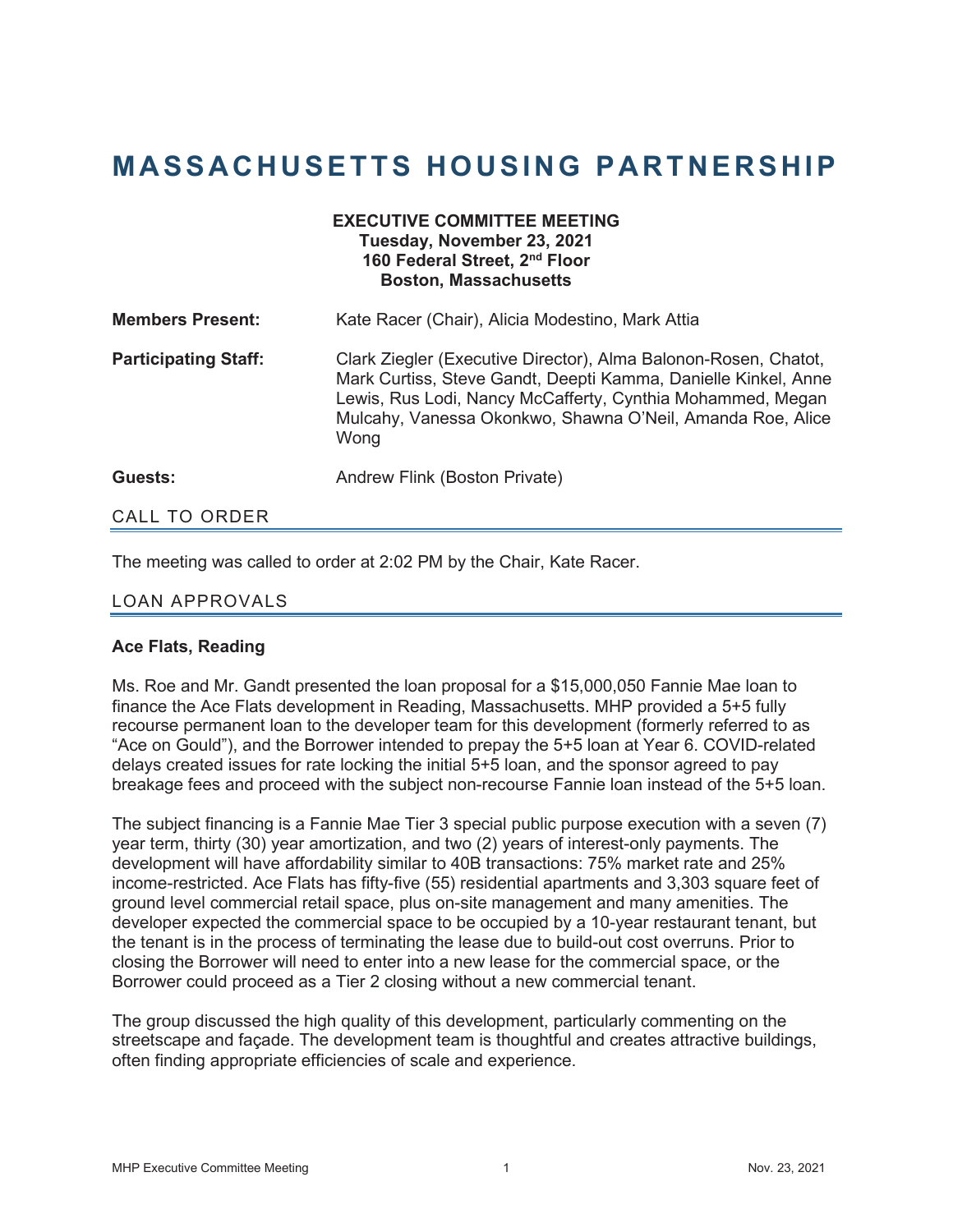## **MASSACHUSETTS HOUSING PARTNERSHIP**

| <b>EXECUTIVE COMMITTEE MEETING</b><br>Tuesday, November 23, 2021<br>160 Federal Street, 2 <sup>nd</sup> Floor<br><b>Boston, Massachusetts</b> |                                                                                                                                                                                                                                                                       |
|-----------------------------------------------------------------------------------------------------------------------------------------------|-----------------------------------------------------------------------------------------------------------------------------------------------------------------------------------------------------------------------------------------------------------------------|
| <b>Members Present:</b>                                                                                                                       | Kate Racer (Chair), Alicia Modestino, Mark Attia                                                                                                                                                                                                                      |
| <b>Participating Staff:</b>                                                                                                                   | Clark Ziegler (Executive Director), Alma Balonon-Rosen, Chatot,<br>Mark Curtiss, Steve Gandt, Deepti Kamma, Danielle Kinkel, Anne<br>Lewis, Rus Lodi, Nancy McCafferty, Cynthia Mohammed, Megan<br>Mulcahy, Vanessa Okonkwo, Shawna O'Neil, Amanda Roe, Alice<br>Wong |
| Guests:                                                                                                                                       | Andrew Flink (Boston Private)                                                                                                                                                                                                                                         |
| <b>CALL TO ORDER</b>                                                                                                                          |                                                                                                                                                                                                                                                                       |

The meeting was called to order at 2:02 PM by the Chair, Kate Racer.

## LOAN APPROVALS

## **Ace Flats, Reading**

Ms. Roe and Mr. Gandt presented the loan proposal for a \$15,000,050 Fannie Mae loan to finance the Ace Flats development in Reading, Massachusetts. MHP provided a 5+5 fully recourse permanent loan to the developer team for this development (formerly referred to as "Ace on Gould"), and the Borrower intended to prepay the 5+5 loan at Year 6. COVID-related delays created issues for rate locking the initial 5+5 loan, and the sponsor agreed to pay breakage fees and proceed with the subject non-recourse Fannie loan instead of the 5+5 loan.

The subject financing is a Fannie Mae Tier 3 special public purpose execution with a seven (7) year term, thirty (30) year amortization, and two (2) years of interest-only payments. The development will have affordability similar to 40B transactions: 75% market rate and 25% income-restricted. Ace Flats has fifty-five (55) residential apartments and 3,303 square feet of ground level commercial retail space, plus on-site management and many amenities. The developer expected the commercial space to be occupied by a 10-year restaurant tenant, but the tenant is in the process of terminating the lease due to build-out cost overruns. Prior to closing the Borrower will need to enter into a new lease for the commercial space, or the Borrower could proceed as a Tier 2 closing without a new commercial tenant.

The group discussed the high quality of this development, particularly commenting on the streetscape and façade. The development team is thoughtful and creates attractive buildings, often finding appropriate efficiencies of scale and experience.